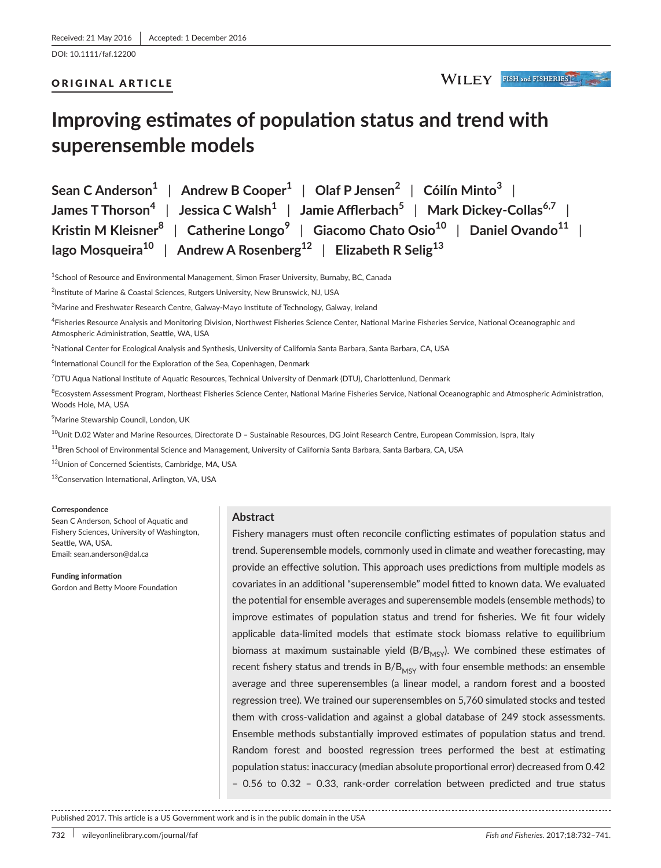## ORIGINAL ARTICLE

WILEY FISH and FISHERIES

# **Improving estimates of population status and trend with superensemble models**

**Sean C Anderson<sup>1</sup>** | **Andrew B Cooper<sup>1</sup>** | **Olaf P Jensen<sup>2</sup>** | **Cóilín Minto<sup>3</sup>** | **James T Thorson<sup>4</sup>** | **Jessica C Walsh<sup>1</sup>** | **Jamie Afflerbach<sup>5</sup>** | **Mark Dickey-Collas6,7** | **Kristin M Kleisner<sup>8</sup>** | **Catherine Longo<sup>9</sup>** | **Giacomo Chato Osio<sup>10</sup>** | **Daniel Ovando<sup>11</sup>** | **Iago Mosqueira<sup>10</sup>** | **Andrew A Rosenberg<sup>12</sup>** | **Elizabeth R Selig<sup>13</sup>**

<sup>1</sup>School of Resource and Environmental Management, Simon Fraser University, Burnaby, BC, Canada

<sup>2</sup>Institute of Marine & Coastal Sciences, Rutgers University, New Brunswick, NJ, USA

 $^3$ Marine and Freshwater Research Centre, Galway-Mayo Institute of Technology, Galway, Ireland

4 Fisheries Resource Analysis and Monitoring Division, Northwest Fisheries Science Center, National Marine Fisheries Service, National Oceanographic and Atmospheric Administration, Seattle, WA, USA

5 National Center for Ecological Analysis and Synthesis, University of California Santa Barbara, Santa Barbara, CA, USA

<sup>6</sup>International Council for the Exploration of the Sea, Copenhagen, Denmark

7 DTU Aqua National Institute of Aquatic Resources, Technical University of Denmark (DTU), Charlottenlund, Denmark

<sup>8</sup>Ecosystem Assessment Program, Northeast Fisheries Science Center, National Marine Fisheries Service, National Oceanographic and Atmospheric Administration, Woods Hole, MA, USA

9 Marine Stewarship Council, London, UK

<sup>10</sup>Unit D.02 Water and Marine Resources, Directorate D - Sustainable Resources, DG Joint Research Centre, European Commission, Ispra, Italy

 $11$ Bren School of Environmental Science and Management, University of California Santa Barbara, Santa Barbara, CA, USA

<sup>12</sup>Union of Concerned Scientists, Cambridge, MA, USA

13Conservation International, Arlington, VA, USA

#### **Correspondence**

Sean C Anderson, School of Aquatic and Fishery Sciences, University of Washington, Seattle, WA, USA. Email: [sean.anderson@dal.ca](mailto:sean.anderson@dal.ca)

**Funding information** Gordon and Betty Moore Foundation

## **Abstract**

Fishery managers must often reconcile conflicting estimates of population status and trend. Superensemble models, commonly used in climate and weather forecasting, may provide an effective solution. This approach uses predictions from multiple models as covariates in an additional "superensemble" model fitted to known data. We evaluated the potential for ensemble averages and superensemble models (ensemble methods) to improve estimates of population status and trend for fisheries. We fit four widely applicable data-limited models that estimate stock biomass relative to equilibrium biomass at maximum sustainable yield  $(B/B<sub>MSY</sub>)$ . We combined these estimates of recent fishery status and trends in  $B/B<sub>MSY</sub>$  with four ensemble methods: an ensemble average and three superensembles (a linear model, a random forest and a boosted regression tree). We trained our superensembles on 5,760 simulated stocks and tested them with cross-validation and against a global database of 249 stock assessments. Ensemble methods substantially improved estimates of population status and trend. Random forest and boosted regression trees performed the best at estimating population status: inaccuracy (median absolute proportional error) decreased from 0.42 – 0.56 to 0.32 – 0.33, rank-order correlation between predicted and true status

Published 2017. This article is a US Government work and is in the public domain in the USA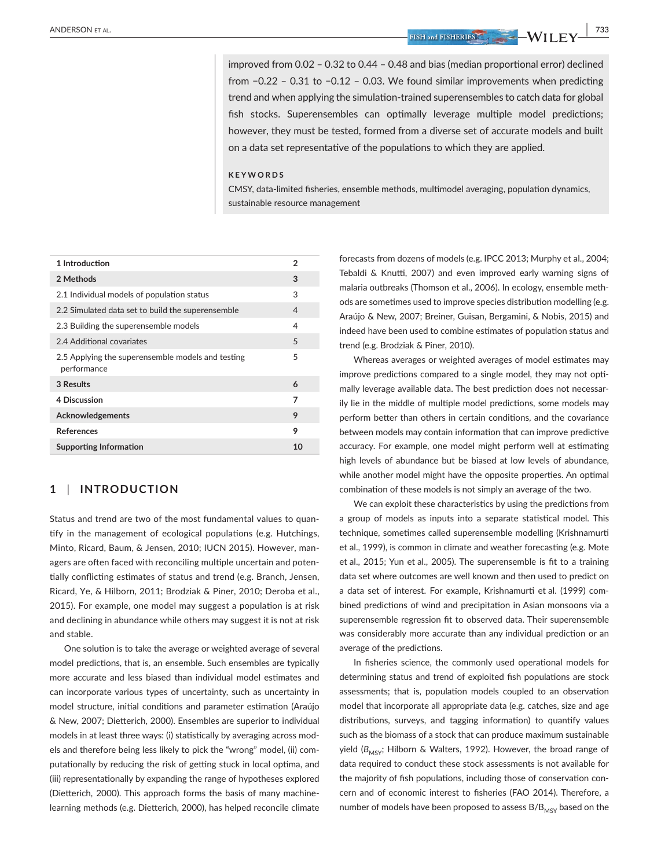improved from 0.02 – 0.32 to 0.44 – 0.48 and bias (median proportional error) declined from −0.22 – 0.31 to −0.12 – 0.03. We found similar improvements when predicting trend and when applying the simulation-trained superensembles to catch data for global fish stocks. Superensembles can optimally leverage multiple model predictions; however, they must be tested, formed from a diverse set of accurate models and built on a data set representative of the populations to which they are applied.

#### **KEYWORDS**

CMSY, data-limited fisheries, ensemble methods, multimodel averaging, population dynamics, sustainable resource management

| 1 Introduction                                                   | 2  |
|------------------------------------------------------------------|----|
| 2 Methods                                                        | 3  |
| 2.1 Individual models of population status                       | 3  |
| 2.2 Simulated data set to build the superensemble                | 4  |
| 2.3 Building the superensemble models                            | 4  |
| 2.4 Additional covariates                                        | 5  |
| 2.5 Applying the superensemble models and testing<br>performance | 5  |
| 3 Results                                                        | 6  |
| 4 Discussion                                                     | 7  |
| Acknowledgements                                                 | 9  |
| <b>References</b>                                                | 9  |
| <b>Supporting Information</b>                                    | 10 |
|                                                                  |    |

## **1** | **INTRODUCTION**

Status and trend are two of the most fundamental values to quantify in the management of ecological populations (e.g. Hutchings, Minto, Ricard, Baum, & Jensen, 2010; IUCN 2015). However, managers are often faced with reconciling multiple uncertain and potentially conflicting estimates of status and trend (e.g. Branch, Jensen, Ricard, Ye, & Hilborn, 2011; Brodziak & Piner, 2010; Deroba et al., 2015). For example, one model may suggest a population is at risk and declining in abundance while others may suggest it is not at risk and stable.

One solution is to take the average or weighted average of several model predictions, that is, an ensemble. Such ensembles are typically more accurate and less biased than individual model estimates and can incorporate various types of uncertainty, such as uncertainty in model structure, initial conditions and parameter estimation (Araújo & New, 2007; Dietterich, 2000). Ensembles are superior to individual models in at least three ways: (i) statistically by averaging across models and therefore being less likely to pick the "wrong" model, (ii) computationally by reducing the risk of getting stuck in local optima, and (iii) representationally by expanding the range of hypotheses explored (Dietterich, 2000). This approach forms the basis of many machinelearning methods (e.g. Dietterich, 2000), has helped reconcile climate

forecasts from dozens of models (e.g. IPCC 2013; Murphy et al., 2004; Tebaldi & Knutti, 2007) and even improved early warning signs of malaria outbreaks (Thomson et al., 2006). In ecology, ensemble methods are sometimes used to improve species distribution modelling (e.g. Araújo & New, 2007; Breiner, Guisan, Bergamini, & Nobis, 2015) and indeed have been used to combine estimates of population status and trend (e.g. Brodziak & Piner, 2010).

Whereas averages or weighted averages of model estimates may improve predictions compared to a single model, they may not optimally leverage available data. The best prediction does not necessarily lie in the middle of multiple model predictions, some models may perform better than others in certain conditions, and the covariance between models may contain information that can improve predictive accuracy. For example, one model might perform well at estimating high levels of abundance but be biased at low levels of abundance, while another model might have the opposite properties. An optimal combination of these models is not simply an average of the two.

We can exploit these characteristics by using the predictions from a group of models as inputs into a separate statistical model. This technique, sometimes called superensemble modelling (Krishnamurti et al., 1999), is common in climate and weather forecasting (e.g. Mote et al., 2015; Yun et al., 2005). The superensemble is fit to a training data set where outcomes are well known and then used to predict on a data set of interest. For example, Krishnamurti et al. (1999) combined predictions of wind and precipitation in Asian monsoons via a superensemble regression fit to observed data. Their superensemble was considerably more accurate than any individual prediction or an average of the predictions.

In fisheries science, the commonly used operational models for determining status and trend of exploited fish populations are stock assessments; that is, population models coupled to an observation model that incorporate all appropriate data (e.g. catches, size and age distributions, surveys, and tagging information) to quantify values such as the biomass of a stock that can produce maximum sustainable yield (B<sub>MSY</sub>; Hilborn & Walters, 1992). However, the broad range of data required to conduct these stock assessments is not available for the majority of fish populations, including those of conservation concern and of economic interest to fisheries (FAO 2014). Therefore, a number of models have been proposed to assess  $B/B<sub>MSY</sub>$  based on the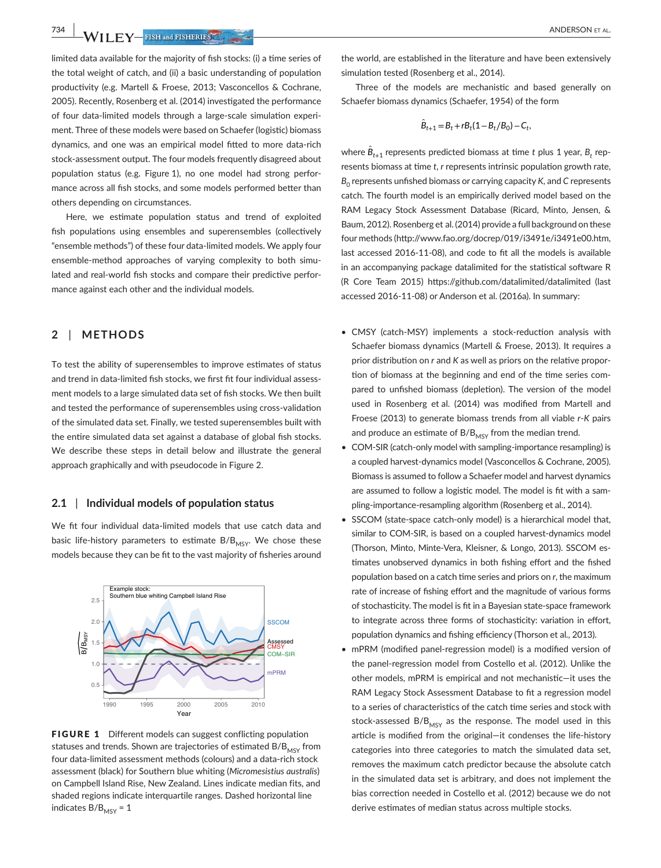**734 WII FY** FISH and FISHERIES **ALL** 

limited data available for the majority of fish stocks: (i) a time series of the total weight of catch, and (ii) a basic understanding of population productivity (e.g. Martell & Froese, 2013; Vasconcellos & Cochrane, 2005). Recently, Rosenberg et al. (2014) investigated the performance of four data-limited models through a large-scale simulation experiment. Three of these models were based on Schaefer (logistic) biomass dynamics, and one was an empirical model fitted to more data-rich stock-assessment output. The four models frequently disagreed about population status (e.g. Figure 1), no one model had strong performance across all fish stocks, and some models performed better than others depending on circumstances.

Here, we estimate population status and trend of exploited fish populations using ensembles and superensembles (collectively "ensemble methods") of these four data-limited models. We apply four ensemble-method approaches of varying complexity to both simulated and real-world fish stocks and compare their predictive performance against each other and the individual models.

## **2** | **METHODS**

To test the ability of superensembles to improve estimates of status and trend in data-limited fish stocks, we first fit four individual assessment models to a large simulated data set of fish stocks. We then built and tested the performance of superensembles using cross-validation of the simulated data set. Finally, we tested superensembles built with the entire simulated data set against a database of global fish stocks. We describe these steps in detail below and illustrate the general approach graphically and with pseudocode in Figure 2.

### **2.1** | **Individual models of population status**

We fit four individual data-limited models that use catch data and basic life-history parameters to estimate  $B/B<sub>MSV</sub>$ . We chose these models because they can be fit to the vast majority of fisheries around



FIGURE 1 Different models can suggest conflicting population statuses and trends. Shown are trajectories of estimated  $B/B<sub>MSV</sub>$  from four data-limited assessment methods (colours) and a data-rich stock assessment (black) for Southern blue whiting (*Micromesistius australis*) on Campbell Island Rise, New Zealand. Lines indicate median fits, and shaded regions indicate interquartile ranges. Dashed horizontal line indicates  $B/B<sub>MSY</sub> = 1$ 

the world, are established in the literature and have been extensively simulation tested (Rosenberg et al., 2014).

Three of the models are mechanistic and based generally on Schaefer biomass dynamics (Schaefer, 1954) of the form

$$
\hat{B}_{t+1} = B_t + rB_t(1 - B_t/B_0) - C_t,
$$

where  $\hat{B}_{t+1}$  represents predicted biomass at time  $t$  plus 1 year,  $B_t$  represents biomass at time *t*, *r* represents intrinsic population growth rate, *B*<sub>0</sub> represents unfished biomass or carrying capacity *K*, and *C* represents catch. The fourth model is an empirically derived model based on the RAM Legacy Stock Assessment Database (Ricard, Minto, Jensen, & Baum, 2012). Rosenberg et al. (2014) provide a full background on these four methods [\(http://www.fao.org/docrep/019/i3491e/i3491e00.htm,](http://www.fao.org/docrep/019/i3491e/i3491e00.htm) last accessed 2016-11-08), and code to fit all the models is available in an accompanying package datalimited for the statistical software R (R Core Team 2015) <https://github.com/datalimited/datalimited> (last accessed 2016-11-08) or Anderson et al. (2016a). In summary:

- CMSY (catch-MSY) implements a stock-reduction analysis with Schaefer biomass dynamics (Martell & Froese, 2013). It requires a prior distribution on *r* and *K* as well as priors on the relative proportion of biomass at the beginning and end of the time series compared to unfished biomass (depletion). The version of the model used in Rosenberg et al. (2014) was modified from Martell and Froese (2013) to generate biomass trends from all viable *r*-*K* pairs and produce an estimate of  $B/B<sub>MSY</sub>$  from the median trend.
- COM-SIR (catch-only model with sampling-importance resampling) is a coupled harvest-dynamics model (Vasconcellos & Cochrane, 2005). Biomass is assumed to follow a Schaefer model and harvest dynamics are assumed to follow a logistic model. The model is fit with a sampling-importance-resampling algorithm (Rosenberg et al., 2014).
- SSCOM (state-space catch-only model) is a hierarchical model that, similar to COM-SIR, is based on a coupled harvest-dynamics model (Thorson, Minto, Minte-Vera, Kleisner, & Longo, 2013). SSCOM estimates unobserved dynamics in both fishing effort and the fished population based on a catch time series and priors on *r*, the maximum rate of increase of fishing effort and the magnitude of various forms of stochasticity. The model is fit in a Bayesian state-space framework to integrate across three forms of stochasticity: variation in effort, population dynamics and fishing efficiency (Thorson et al., 2013).
- mPRM (modified panel-regression model) is a modified version of the panel-regression model from Costello et al. (2012). Unlike the other models, mPRM is empirical and not mechanistic—it uses the RAM Legacy Stock Assessment Database to fit a regression model to a series of characteristics of the catch time series and stock with stock-assessed  $B/B_{MSY}$  as the response. The model used in this article is modified from the original—it condenses the life-history categories into three categories to match the simulated data set, removes the maximum catch predictor because the absolute catch in the simulated data set is arbitrary, and does not implement the bias correction needed in Costello et al. (2012) because we do not derive estimates of median status across multiple stocks.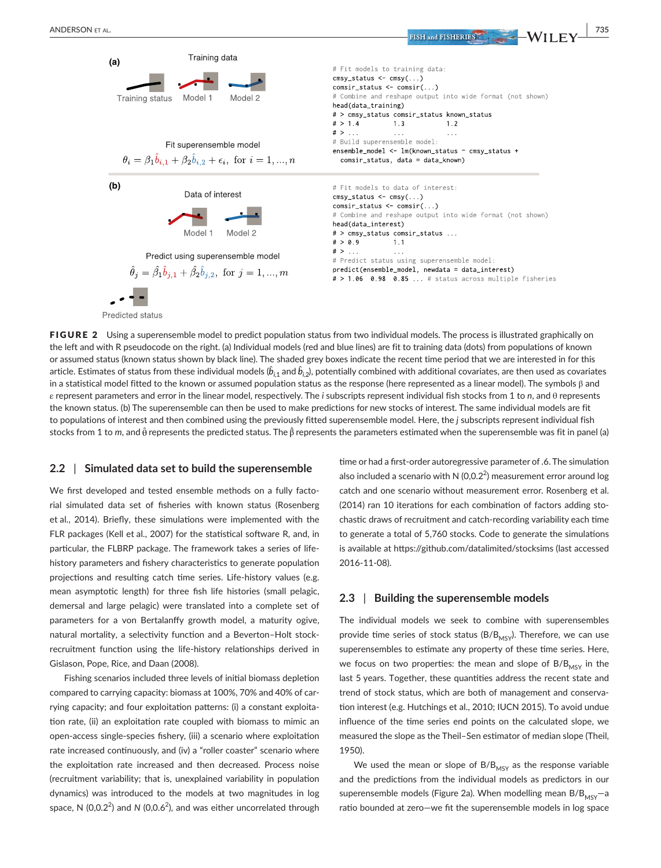

FIGURE 2 Using a superensemble model to predict population status from two individual models. The process is illustrated graphically on the left and with R pseudocode on the right. (a) Individual models (red and blue lines) are fit to training data (dots) from populations of known or assumed status (known status shown by black line). The shaded grey boxes indicate the recent time period that we are interested in for this article. Estimates of status from these individual models ( $\hat{b}_{i,1}$  and  $\hat{b}_{i,2}$ ), potentially combined with additional covariates, are then used as covariates in a statistical model fitted to the known or assumed population status as the response (here represented as a linear model). The symbols β and ε represent parameters and error in the linear model, respectively. The *i* subscripts represent individual fish stocks from 1 to *n*, and θ represents the known status. (b) The superensemble can then be used to make predictions for new stocks of interest. The same individual models are fit to populations of interest and then combined using the previously fitted superensemble model. Here, the *j* subscripts represent individual fish stocks from 1 to *m*, and θ*̂* represents the predicted status. The β*̂* represents the parameters estimated when the superensemble was fit in panel (a)

#### **2.2** | **Simulated data set to build the superensemble**

**Predicted status** 

We first developed and tested ensemble methods on a fully factorial simulated data set of fisheries with known status (Rosenberg et al., 2014). Briefly, these simulations were implemented with the FLR packages (Kell et al., 2007) for the statistical software R, and, in particular, the FLBRP package. The framework takes a series of lifehistory parameters and fishery characteristics to generate population projections and resulting catch time series. Life-history values (e.g. mean asymptotic length) for three fish life histories (small pelagic, demersal and large pelagic) were translated into a complete set of parameters for a von Bertalanffy growth model, a maturity ogive, natural mortality, a selectivity function and a Beverton–Holt stockrecruitment function using the life-history relationships derived in Gislason, Pope, Rice, and Daan (2008).

Fishing scenarios included three levels of initial biomass depletion compared to carrying capacity: biomass at 100%, 70% and 40% of carrying capacity; and four exploitation patterns: (i) a constant exploitation rate, (ii) an exploitation rate coupled with biomass to mimic an open-access single-species fishery, (iii) a scenario where exploitation rate increased continuously, and (iv) a "roller coaster" scenario where the exploitation rate increased and then decreased. Process noise (recruitment variability; that is, unexplained variability in population dynamics) was introduced to the models at two magnitudes in log space, N (0,0.2<sup>2</sup>) and N (0,0.6<sup>2</sup>), and was either uncorrelated through time or had a first-order autoregressive parameter of .6. The simulation also included a scenario with N (0,0.2<sup>2</sup>) measurement error around log catch and one scenario without measurement error. Rosenberg et al. (2014) ran 10 iterations for each combination of factors adding stochastic draws of recruitment and catch-recording variability each time to generate a total of 5,760 stocks. Code to generate the simulations is available at <https://github.com/datalimited/stocksims>(last accessed 2016-11-08).

### **2.3** | **Building the superensemble models**

The individual models we seek to combine with superensembles provide time series of stock status ( $B/B<sub>MSY</sub>$ ). Therefore, we can use superensembles to estimate any property of these time series. Here, we focus on two properties: the mean and slope of  $B/B<sub>MSY</sub>$  in the last 5 years. Together, these quantities address the recent state and trend of stock status, which are both of management and conservation interest (e.g. Hutchings et al., 2010; IUCN 2015). To avoid undue influence of the time series end points on the calculated slope, we measured the slope as the Theil–Sen estimator of median slope (Theil, 1950).

We used the mean or slope of  $B/B<sub>MSY</sub>$  as the response variable and the predictions from the individual models as predictors in our superensemble models (Figure 2a). When modelling mean  $B/B<sub>MSY</sub>$ -a ratio bounded at zero—we fit the superensemble models in log space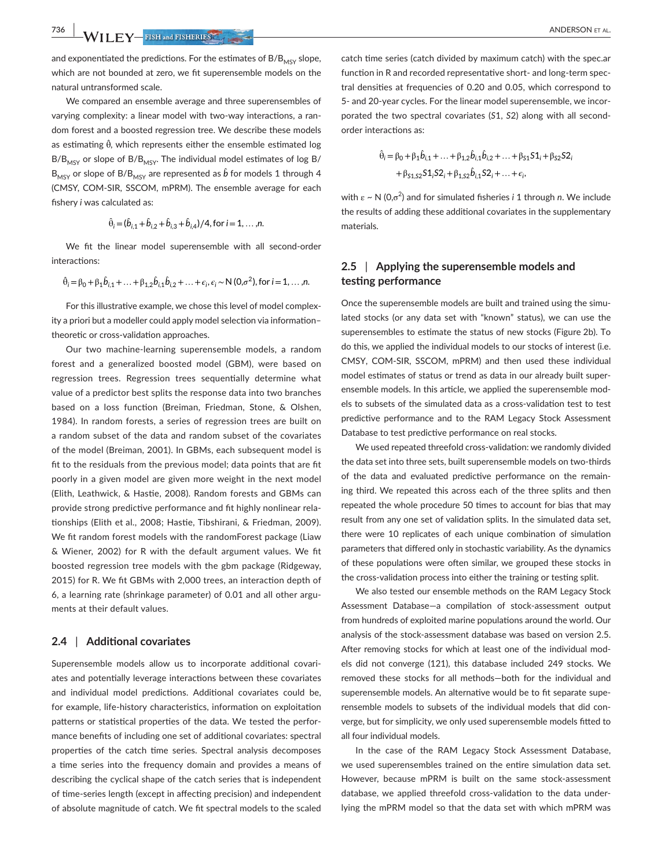**736 WII FY** FISH and FISHERIES **ALL** 

and exponentiated the predictions. For the estimates of  $B/B<sub>MSY</sub>$  slope, which are not bounded at zero, we fit superensemble models on the natural untransformed scale.

We compared an ensemble average and three superensembles of varying complexity: a linear model with two-way interactions, a random forest and a boosted regression tree. We describe these models as estimating θ*̂*, which represents either the ensemble estimated log  $B/B<sub>MSY</sub>$  or slope of  $B/B<sub>MSY</sub>$ . The individual model estimates of log B/  $\mathsf{B}_{\mathsf{MSY}}$  or slope of B/ $\mathsf{B}_{\mathsf{MSY}}$  are represented as  $\hat{b}$  for models 1 through 4 (CMSY, COM-SIR, SSCOM, mPRM). The ensemble average for each fishery *i* was calculated as:

$$
\hat{\theta}_i = (\hat{b}_{i,1} + \hat{b}_{i,2} + \hat{b}_{i,3} + \hat{b}_{i,4})/4, \text{ for } i = 1, ..., n.
$$

We fit the linear model superensemble with all second-order interactions:

$$
\hat{\theta}_i = \beta_0 + \beta_1 \hat{b}_{i,1} + \ldots + \beta_{1,2} \hat{b}_{i,1} \hat{b}_{i,2} + \ldots + \epsilon_i, \epsilon_i \sim N(0, \sigma^2), \text{ for } i = 1, \ldots, n.
$$

For this illustrative example, we chose this level of model complexity a priori but a modeller could apply model selection via information– theoretic or cross-validation approaches.

Our two machine-learning superensemble models, a random forest and a generalized boosted model (GBM), were based on regression trees. Regression trees sequentially determine what value of a predictor best splits the response data into two branches based on a loss function (Breiman, Friedman, Stone, & Olshen, 1984). In random forests, a series of regression trees are built on a random subset of the data and random subset of the covariates of the model (Breiman, 2001). In GBMs, each subsequent model is fit to the residuals from the previous model; data points that are fit poorly in a given model are given more weight in the next model (Elith, Leathwick, & Hastie, 2008). Random forests and GBMs can provide strong predictive performance and fit highly nonlinear relationships (Elith et al., 2008; Hastie, Tibshirani, & Friedman, 2009). We fit random forest models with the randomForest package (Liaw & Wiener, 2002) for R with the default argument values. We fit boosted regression tree models with the gbm package (Ridgeway, 2015) for R. We fit GBMs with 2,000 trees, an interaction depth of 6, a learning rate (shrinkage parameter) of 0.01 and all other arguments at their default values.

## **2.4** | **Additional covariates**

Superensemble models allow us to incorporate additional covariates and potentially leverage interactions between these covariates and individual model predictions. Additional covariates could be, for example, life-history characteristics, information on exploitation patterns or statistical properties of the data. We tested the performance benefits of including one set of additional covariates: spectral properties of the catch time series. Spectral analysis decomposes a time series into the frequency domain and provides a means of describing the cyclical shape of the catch series that is independent of time-series length (except in affecting precision) and independent of absolute magnitude of catch. We fit spectral models to the scaled catch time series (catch divided by maximum catch) with the spec.ar function in R and recorded representative short- and long-term spectral densities at frequencies of 0.20 and 0.05, which correspond to 5- and 20-year cycles. For the linear model superensemble, we incorporated the two spectral covariates (*S*1, *S*2) along with all secondorder interactions as:

$$
\hat{\theta}_i = \beta_0 + \beta_1 \hat{b}_{i,1} + \dots + \beta_{1,2} \hat{b}_{i,1} \hat{b}_{i,2} + \dots + \beta_{S1} S1_i + \beta_{S2} S2_i
$$
  
+  $\beta_{S1,S2} S1_i S2_i + \beta_{1,S2} \hat{b}_{i,1} S2_i + \dots + \epsilon_i$ ,

with ε ~ N (0,σ<sup>2</sup>) and for simulated fisheries *i* 1 through *n*. We include the results of adding these additional covariates in the supplementary materials.

## **2.5** | **Applying the superensemble models and testing performance**

Once the superensemble models are built and trained using the simulated stocks (or any data set with "known" status), we can use the superensembles to estimate the status of new stocks (Figure 2b). To do this, we applied the individual models to our stocks of interest (i.e. CMSY, COM-SIR, SSCOM, mPRM) and then used these individual model estimates of status or trend as data in our already built superensemble models. In this article, we applied the superensemble models to subsets of the simulated data as a cross-validation test to test predictive performance and to the RAM Legacy Stock Assessment Database to test predictive performance on real stocks.

We used repeated threefold cross-validation: we randomly divided the data set into three sets, built superensemble models on two-thirds of the data and evaluated predictive performance on the remaining third. We repeated this across each of the three splits and then repeated the whole procedure 50 times to account for bias that may result from any one set of validation splits. In the simulated data set, there were 10 replicates of each unique combination of simulation parameters that differed only in stochastic variability. As the dynamics of these populations were often similar, we grouped these stocks in the cross-validation process into either the training or testing split.

We also tested our ensemble methods on the RAM Legacy Stock Assessment Database—a compilation of stock-assessment output from hundreds of exploited marine populations around the world. Our analysis of the stock-assessment database was based on version 2.5. After removing stocks for which at least one of the individual models did not converge (121), this database included 249 stocks. We removed these stocks for all methods—both for the individual and superensemble models. An alternative would be to fit separate superensemble models to subsets of the individual models that did converge, but for simplicity, we only used superensemble models fitted to all four individual models.

In the case of the RAM Legacy Stock Assessment Database, we used superensembles trained on the entire simulation data set. However, because mPRM is built on the same stock-assessment database, we applied threefold cross-validation to the data underlying the mPRM model so that the data set with which mPRM was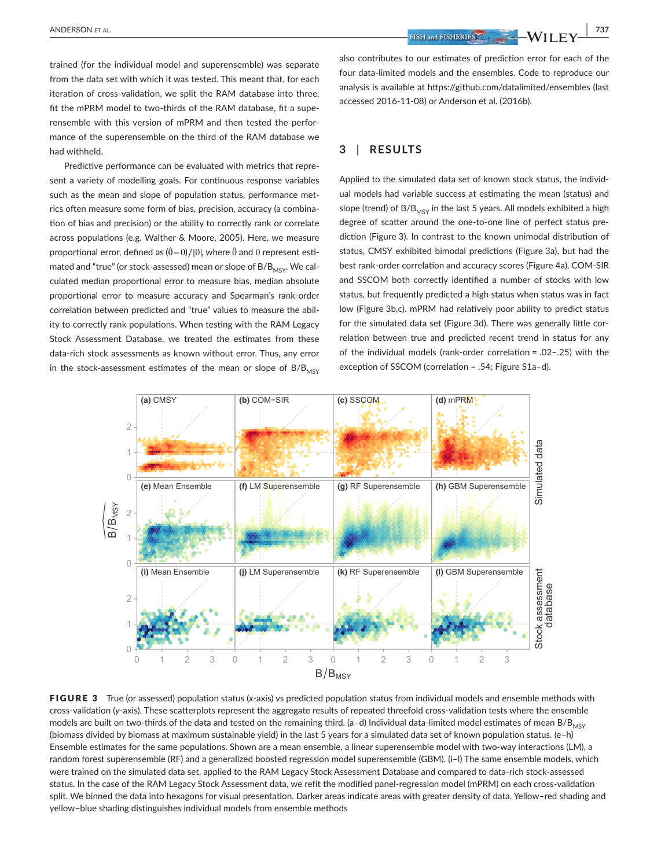trained (for the individual model and superensemble) was separate from the data set with which it was tested. This meant that, for each iteration of cross-validation, we split the RAM database into three, fit the mPRM model to two-thirds of the RAM database, fit a superensemble with this version of mPRM and then tested the performance of the superensemble on the third of the RAM database we had withheld.

Predictive performance can be evaluated with metrics that represent a variety of modelling goals. For continuous response variables such as the mean and slope of population status, performance metrics often measure some form of bias, precision, accuracy (a combination of bias and precision) or the ability to correctly rank or correlate across populations (e.g. Walther & Moore, 2005). Here, we measure proportional error, defined as (θ−θ *̂* )∕|θ|, where θ*̂* and θ represent estimated and "true" (or stock-assessed) mean or slope of  $B/B<sub>MSV</sub>$ . We calculated median proportional error to measure bias, median absolute proportional error to measure accuracy and Spearman's rank-order correlation between predicted and "true" values to measure the ability to correctly rank populations. When testing with the RAM Legacy Stock Assessment Database, we treated the estimates from these data-rich stock assessments as known without error. Thus, any error in the stock-assessment estimates of the mean or slope of  $B/B<sub>MSV</sub>$  also contributes to our estimates of prediction error for each of the four data-limited models and the ensembles. Code to reproduce our analysis is available at <https://github.com/datalimited/ensembles>(last accessed 2016-11-08) or Anderson et al. (2016b).

## **3** | **RESULTS**

Applied to the simulated data set of known stock status, the individual models had variable success at estimating the mean (status) and slope (trend) of  $B/B<sub>MSY</sub>$  in the last 5 years. All models exhibited a high degree of scatter around the one-to-one line of perfect status prediction (Figure 3). In contrast to the known unimodal distribution of status, CMSY exhibited bimodal predictions (Figure 3a), but had the best rank-order correlation and accuracy scores (Figure 4a). COM-SIR and SSCOM both correctly identified a number of stocks with low status, but frequently predicted a high status when status was in fact low (Figure 3b,c). mPRM had relatively poor ability to predict status for the simulated data set (Figure 3d). There was generally little correlation between true and predicted recent trend in status for any of the individual models (rank-order correlation = .02–.25) with the exception of SSCOM (correlation = .54; Figure S1a–d).



FIGURE 3 True (or assessed) population status (*x*-axis) vs predicted population status from individual models and ensemble methods with cross-validation (*y*-axis). These scatterplots represent the aggregate results of repeated threefold cross-validation tests where the ensemble models are built on two-thirds of the data and tested on the remaining third. (a-d) Individual data-limited model estimates of mean  $B/B<sub>MSY</sub>$ (biomass divided by biomass at maximum sustainable yield) in the last 5 years for a simulated data set of known population status. (e–h) Ensemble estimates for the same populations. Shown are a mean ensemble, a linear superensemble model with two-way interactions (LM), a random forest superensemble (RF) and a generalized boosted regression model superensemble (GBM). (i–l) The same ensemble models, which were trained on the simulated data set, applied to the RAM Legacy Stock Assessment Database and compared to data-rich stock-assessed status. In the case of the RAM Legacy Stock Assessment data, we refit the modified panel-regression model (mPRM) on each cross-validation split. We binned the data into hexagons for visual presentation. Darker areas indicate areas with greater density of data. Yellow-red shading and yellow–blue shading distinguishes individual models from ensemble methods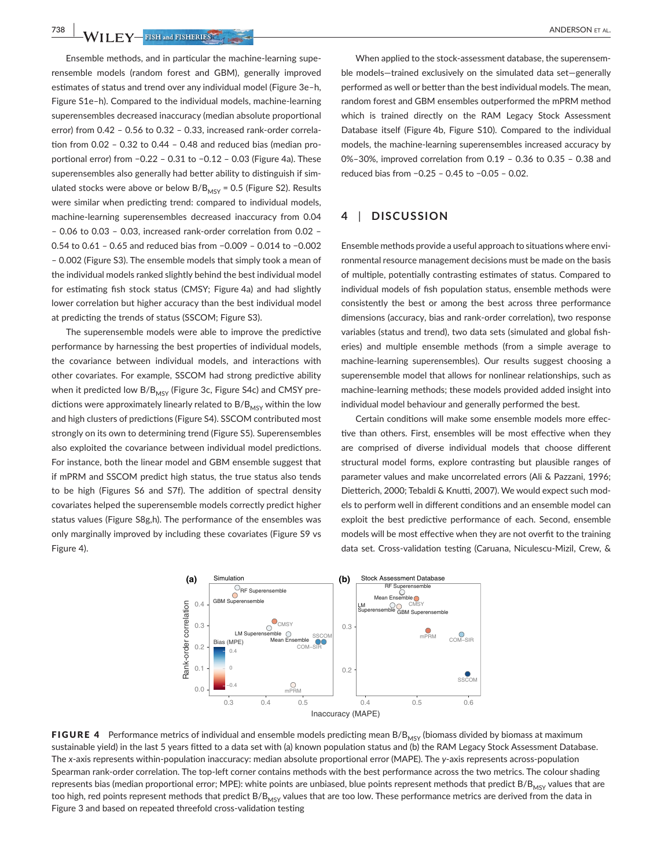**738 |**  ANDERSON et al.

Ensemble methods, and in particular the machine-learning superensemble models (random forest and GBM), generally improved estimates of status and trend over any individual model (Figure 3e–h, Figure S1e–h). Compared to the individual models, machine-learning superensembles decreased inaccuracy (median absolute proportional error) from 0.42 – 0.56 to 0.32 – 0.33, increased rank-order correlation from 0.02 – 0.32 to 0.44 – 0.48 and reduced bias (median proportional error) from −0.22 – 0.31 to −0.12 – 0.03 (Figure 4a). These superensembles also generally had better ability to distinguish if simulated stocks were above or below  $B/B<sub>MSY</sub> = 0.5$  (Figure S2). Results were similar when predicting trend: compared to individual models, machine-learning superensembles decreased inaccuracy from 0.04 – 0.06 to 0.03 – 0.03, increased rank-order correlation from 0.02 – 0.54 to 0.61 – 0.65 and reduced bias from −0.009 – 0.014 to −0.002 – 0.002 (Figure S3). The ensemble models that simply took a mean of the individual models ranked slightly behind the best individual model for estimating fish stock status (CMSY; Figure 4a) and had slightly lower correlation but higher accuracy than the best individual model at predicting the trends of status (SSCOM; Figure S3).

The superensemble models were able to improve the predictive performance by harnessing the best properties of individual models, the covariance between individual models, and interactions with other covariates. For example, SSCOM had strong predictive ability when it predicted low  $B/B_{MSV}$  (Figure 3c, Figure S4c) and CMSY predictions were approximately linearly related to  $B/B<sub>MSY</sub>$  within the low and high clusters of predictions (Figure S4). SSCOM contributed most strongly on its own to determining trend (Figure S5). Superensembles also exploited the covariance between individual model predictions. For instance, both the linear model and GBM ensemble suggest that if mPRM and SSCOM predict high status, the true status also tends to be high (Figures S6 and S7f). The addition of spectral density covariates helped the superensemble models correctly predict higher status values (Figure S8g,h). The performance of the ensembles was only marginally improved by including these covariates (Figure S9 vs Figure 4).

When applied to the stock-assessment database, the superensemble models—trained exclusively on the simulated data set—generally performed as well or better than the best individual models. The mean, random forest and GBM ensembles outperformed the mPRM method which is trained directly on the RAM Legacy Stock Assessment Database itself (Figure 4b, Figure S10). Compared to the individual models, the machine-learning superensembles increased accuracy by 0%–30%, improved correlation from 0.19 – 0.36 to 0.35 – 0.38 and reduced bias from −0.25 – 0.45 to −0.05 – 0.02.

## **4** | **DISCUSSION**

Ensemble methods provide a useful approach to situations where environmental resource management decisions must be made on the basis of multiple, potentially contrasting estimates of status. Compared to individual models of fish population status, ensemble methods were consistently the best or among the best across three performance dimensions (accuracy, bias and rank-order correlation), two response variables (status and trend), two data sets (simulated and global fisheries) and multiple ensemble methods (from a simple average to machine-learning superensembles). Our results suggest choosing a superensemble model that allows for nonlinear relationships, such as machine-learning methods; these models provided added insight into individual model behaviour and generally performed the best.

Certain conditions will make some ensemble models more effective than others. First, ensembles will be most effective when they are comprised of diverse individual models that choose different structural model forms, explore contrasting but plausible ranges of parameter values and make uncorrelated errors (Ali & Pazzani, 1996; Dietterich, 2000; Tebaldi & Knutti, 2007). We would expect such models to perform well in different conditions and an ensemble model can exploit the best predictive performance of each. Second, ensemble models will be most effective when they are not overfit to the training data set. Cross-validation testing (Caruana, Niculescu-Mizil, Crew, &



FIGURE 4 Performance metrics of individual and ensemble models predicting mean B/B<sub>MSY</sub> (biomass divided by biomass at maximum sustainable yield) in the last 5 years fitted to a data set with (a) known population status and (b) the RAM Legacy Stock Assessment Database. The *x*-axis represents within-population inaccuracy: median absolute proportional error (MAPE). The *y*-axis represents across-population Spearman rank-order correlation. The top-left corner contains methods with the best performance across the two metrics. The colour shading represents bias (median proportional error; MPE): white points are unbiased, blue points represent methods that predict  $B/B_{MSY}$  values that are too high, red points represent methods that predict  $B/B<sub>MSV</sub>$  values that are too low. These performance metrics are derived from the data in Figure 3 and based on repeated threefold cross-validation testing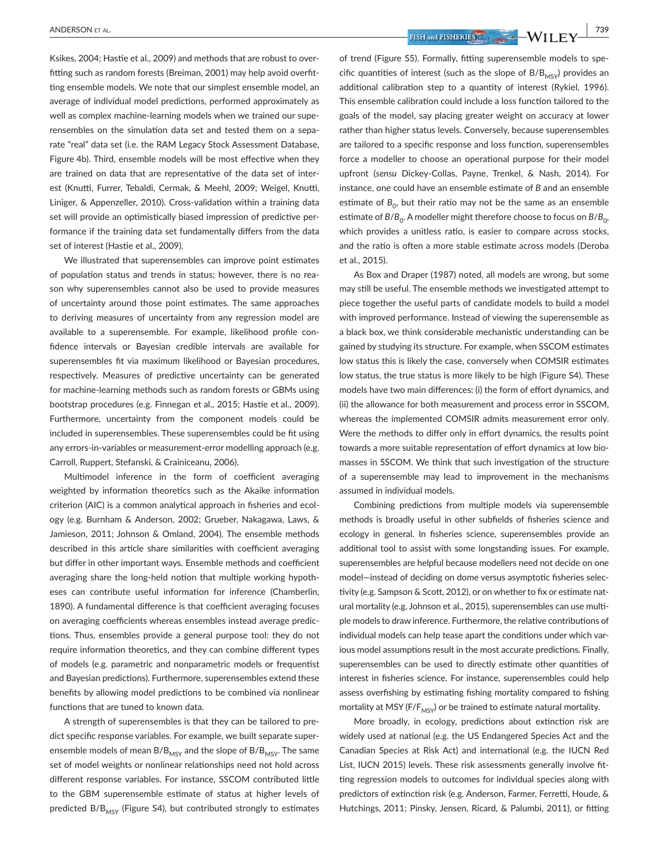Ksikes, 2004; Hastie et al., 2009) and methods that are robust to overfitting such as random forests (Breiman, 2001) may help avoid overfitting ensemble models. We note that our simplest ensemble model, an average of individual model predictions, performed approximately as well as complex machine-learning models when we trained our superensembles on the simulation data set and tested them on a separate "real" data set (i.e. the RAM Legacy Stock Assessment Database, Figure 4b). Third, ensemble models will be most effective when they are trained on data that are representative of the data set of interest (Knutti, Furrer, Tebaldi, Cermak, & Meehl, 2009; Weigel, Knutti, Liniger, & Appenzeller, 2010). Cross-validation within a training data set will provide an optimistically biased impression of predictive performance if the training data set fundamentally differs from the data set of interest (Hastie et al., 2009).

We illustrated that superensembles can improve point estimates of population status and trends in status; however, there is no reason why superensembles cannot also be used to provide measures of uncertainty around those point estimates. The same approaches to deriving measures of uncertainty from any regression model are available to a superensemble. For example, likelihood profile confidence intervals or Bayesian credible intervals are available for superensembles fit via maximum likelihood or Bayesian procedures, respectively. Measures of predictive uncertainty can be generated for machine-learning methods such as random forests or GBMs using bootstrap procedures (e.g. Finnegan et al., 2015; Hastie et al., 2009). Furthermore, uncertainty from the component models could be included in superensembles. These superensembles could be fit using any errors-in-variables or measurement-error modelling approach (e.g. Carroll, Ruppert, Stefanski, & Crainiceanu, 2006).

Multimodel inference in the form of coefficient averaging weighted by information theoretics such as the Akaike information criterion (AIC) is a common analytical approach in fisheries and ecology (e.g. Burnham & Anderson, 2002; Grueber, Nakagawa, Laws, & Jamieson, 2011; Johnson & Omland, 2004). The ensemble methods described in this article share similarities with coefficient averaging but differ in other important ways. Ensemble methods and coefficient averaging share the long-held notion that multiple working hypotheses can contribute useful information for inference (Chamberlin, 1890). A fundamental difference is that coefficient averaging focuses on averaging coefficients whereas ensembles instead average predictions. Thus, ensembles provide a general purpose tool: they do not require information theoretics, and they can combine different types of models (e.g. parametric and nonparametric models or frequentist and Bayesian predictions). Furthermore, superensembles extend these benefits by allowing model predictions to be combined via nonlinear functions that are tuned to known data.

A strength of superensembles is that they can be tailored to predict specific response variables. For example, we built separate superensemble models of mean  $B/B_{MSY}$  and the slope of  $B/B_{MSY}$ . The same set of model weights or nonlinear relationships need not hold across different response variables. For instance, SSCOM contributed little to the GBM superensemble estimate of status at higher levels of predicted B/B<sub>MSY</sub> (Figure S4), but contributed strongly to estimates

 **ANDERSON ET AL.** *PISH and FISHERIES* **WILEY 739** 

of trend (Figure S5). Formally, fitting superensemble models to specific quantities of interest (such as the slope of  $B/B<sub>MSY</sub>$ ) provides an additional calibration step to a quantity of interest (Rykiel, 1996). This ensemble calibration could include a loss function tailored to the goals of the model, say placing greater weight on accuracy at lower rather than higher status levels. Conversely, because superensembles are tailored to a specific response and loss function, superensembles force a modeller to choose an operational purpose for their model upfront (*sensu* Dickey-Collas, Payne, Trenkel, & Nash, 2014). For instance, one could have an ensemble estimate of *B* and an ensemble estimate of  $B_0$ , but their ratio may not be the same as an ensemble estimate of  $B/B_0$ . A modeller might therefore choose to focus on  $B/B_0$ , which provides a unitless ratio, is easier to compare across stocks, and the ratio is often a more stable estimate across models (Deroba et al., 2015).

As Box and Draper (1987) noted, all models are wrong, but some may still be useful. The ensemble methods we investigated attempt to piece together the useful parts of candidate models to build a model with improved performance. Instead of viewing the superensemble as a black box, we think considerable mechanistic understanding can be gained by studying its structure. For example, when SSCOM estimates low status this is likely the case, conversely when COMSIR estimates low status, the true status is more likely to be high (Figure S4). These models have two main differences: (i) the form of effort dynamics, and (ii) the allowance for both measurement and process error in SSCOM, whereas the implemented COMSIR admits measurement error only. Were the methods to differ only in effort dynamics, the results point towards a more suitable representation of effort dynamics at low biomasses in SSCOM. We think that such investigation of the structure of a superensemble may lead to improvement in the mechanisms assumed in individual models.

Combining predictions from multiple models via superensemble methods is broadly useful in other subfields of fisheries science and ecology in general. In fisheries science, superensembles provide an additional tool to assist with some longstanding issues. For example, superensembles are helpful because modellers need not decide on one model—instead of deciding on dome versus asymptotic fisheries selectivity (e.g. Sampson & Scott, 2012), or on whether to fix or estimate natural mortality (e.g. Johnson et al., 2015), superensembles can use multiple models to draw inference. Furthermore, the relative contributions of individual models can help tease apart the conditions under which various model assumptions result in the most accurate predictions. Finally, superensembles can be used to directly estimate other quantities of interest in fisheries science. For instance, superensembles could help assess overfishing by estimating fishing mortality compared to fishing mortality at MSY ( $F/F_{MSY}$ ) or be trained to estimate natural mortality.

More broadly, in ecology, predictions about extinction risk are widely used at national (e.g. the US Endangered Species Act and the Canadian Species at Risk Act) and international (e.g. the IUCN Red List, IUCN 2015) levels. These risk assessments generally involve fitting regression models to outcomes for individual species along with predictors of extinction risk (e.g. Anderson, Farmer, Ferretti, Houde, & Hutchings, 2011; Pinsky, Jensen, Ricard, & Palumbi, 2011), or fitting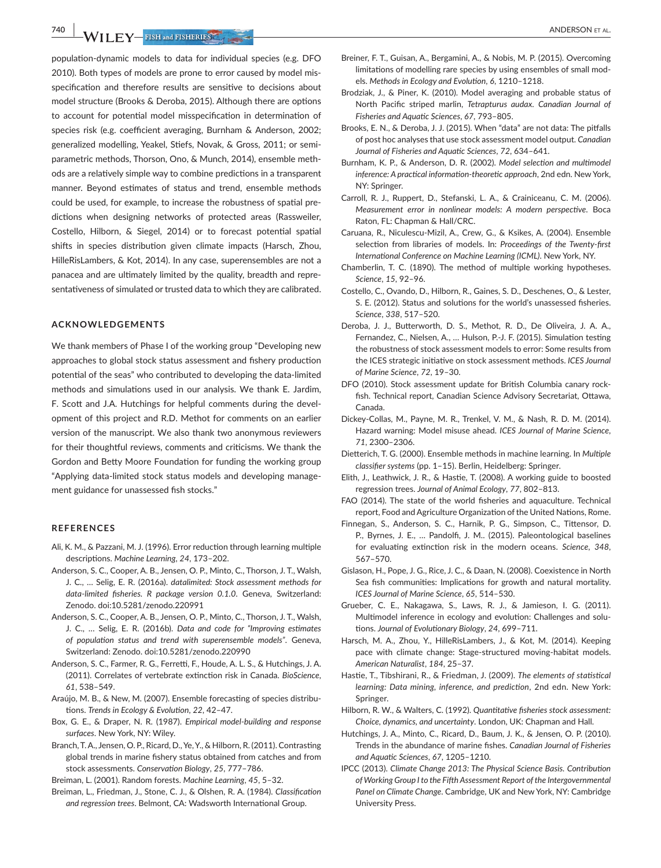**740 |**  ANDERSON et al.

population-dynamic models to data for individual species (e.g. DFO 2010). Both types of models are prone to error caused by model misspecification and therefore results are sensitive to decisions about model structure (Brooks & Deroba, 2015). Although there are options to account for potential model misspecification in determination of species risk (e.g. coefficient averaging, Burnham & Anderson, 2002; generalized modelling, Yeakel, Stiefs, Novak, & Gross, 2011; or semiparametric methods, Thorson, Ono, & Munch, 2014), ensemble methods are a relatively simple way to combine predictions in a transparent manner. Beyond estimates of status and trend, ensemble methods could be used, for example, to increase the robustness of spatial predictions when designing networks of protected areas (Rassweiler, Costello, Hilborn, & Siegel, 2014) or to forecast potential spatial shifts in species distribution given climate impacts (Harsch, Zhou, HilleRisLambers, & Kot, 2014). In any case, superensembles are not a panacea and are ultimately limited by the quality, breadth and representativeness of simulated or trusted data to which they are calibrated.

#### **ACKNOWLEDGEMENTS**

We thank members of Phase I of the working group "Developing new approaches to global stock status assessment and fishery production potential of the seas" who contributed to developing the data-limited methods and simulations used in our analysis. We thank E. Jardim, F. Scott and J.A. Hutchings for helpful comments during the development of this project and R.D. Methot for comments on an earlier version of the manuscript. We also thank two anonymous reviewers for their thoughtful reviews, comments and criticisms. We thank the Gordon and Betty Moore Foundation for funding the working group "Applying data-limited stock status models and developing management guidance for unassessed fish stocks."

### **REFERENCES**

- Ali, K. M., & Pazzani, M. J. (1996). Error reduction through learning multiple descriptions. *Machine Learning*, *24*, 173–202.
- Anderson, S. C., Cooper, A. B., Jensen, O. P., Minto, C., Thorson, J. T., Walsh, J. C., … Selig, E. R. (2016a). *datalimited: Stock assessment methods for data-limited fisheries. R package version 0.1.0*. Geneva, Switzerland: Zenodo. doi[:10.5281/zenodo.220991](https://doi.org/10.5281/zenodo.220991)
- Anderson, S. C., Cooper, A. B., Jensen, O. P., Minto, C., Thorson, J. T., Walsh, J. C., … Selig, E. R. (2016b). *Data and code for "Improving estimates of population status and trend with superensemble models"*. Geneva, Switzerland: Zenodo. doi[:10.5281/zenodo.220990](https://doi.org/10.5281/zenodo.220990)
- Anderson, S. C., Farmer, R. G., Ferretti, F., Houde, A. L. S., & Hutchings, J. A. (2011). Correlates of vertebrate extinction risk in Canada. *BioScience*, *61*, 538–549.
- Araújo, M. B., & New, M. (2007). Ensemble forecasting of species distributions. *Trends in Ecology & Evolution*, *22*, 42–47.
- Box, G. E., & Draper, N. R. (1987). *Empirical model-building and response surfaces*. New York, NY: Wiley.
- Branch, T. A., Jensen, O. P., Ricard, D., Ye, Y., & Hilborn, R. (2011). Contrasting global trends in marine fishery status obtained from catches and from stock assessments. *Conservation Biology*, *25*, 777–786.

Breiman, L. (2001). Random forests. *Machine Learning*, *45*, 5–32.

Breiman, L., Friedman, J., Stone, C. J., & Olshen, R. A. (1984). *Classification and regression trees*. Belmont, CA: Wadsworth International Group.

- Breiner, F. T., Guisan, A., Bergamini, A., & Nobis, M. P. (2015). Overcoming limitations of modelling rare species by using ensembles of small models. *Methods in Ecology and Evolution*, *6*, 1210–1218.
- Brodziak, J., & Piner, K. (2010). Model averaging and probable status of North Pacific striped marlin, *Tetrapturus audax*. *Canadian Journal of Fisheries and Aquatic Sciences*, *67*, 793–805.
- Brooks, E. N., & Deroba, J. J. (2015). When "data" are not data: The pitfalls of post hoc analyses that use stock assessment model output. *Canadian Journal of Fisheries and Aquatic Sciences*, *72*, 634–641.
- Burnham, K. P., & Anderson, D. R. (2002). *Model selection and multimodel inference: A practical information-theoretic approach*, 2nd edn. New York, NY: Springer.
- Carroll, R. J., Ruppert, D., Stefanski, L. A., & Crainiceanu, C. M. (2006). *Measurement error in nonlinear models: A modern perspective*. Boca Raton, FL: Chapman & Hall/CRC.
- Caruana, R., Niculescu-Mizil, A., Crew, G., & Ksikes, A. (2004). Ensemble selection from libraries of models. In: *Proceedings of the Twenty-first International Conference on Machine Learning (ICML)*. New York, NY.
- Chamberlin, T. C. (1890). The method of multiple working hypotheses. *Science*, *15*, 92–96.
- Costello, C., Ovando, D., Hilborn, R., Gaines, S. D., Deschenes, O., & Lester, S. E. (2012). Status and solutions for the world's unassessed fisheries. *Science*, *338*, 517–520.
- Deroba, J. J., Butterworth, D. S., Methot, R. D., De Oliveira, J. A. A., Fernandez, C., Nielsen, A., … Hulson, P.-J. F. (2015). Simulation testing the robustness of stock assessment models to error: Some results from the ICES strategic initiative on stock assessment methods. *ICES Journal of Marine Science*, *72*, 19–30.
- DFO (2010). Stock assessment update for British Columbia canary rockfish. Technical report, Canadian Science Advisory Secretariat, Ottawa, Canada.
- Dickey-Collas, M., Payne, M. R., Trenkel, V. M., & Nash, R. D. M. (2014). Hazard warning: Model misuse ahead. *ICES Journal of Marine Science*, *71*, 2300–2306.
- Dietterich, T. G. (2000). Ensemble methods in machine learning. In *Multiple classifier systems* (pp. 1–15). Berlin, Heidelberg: Springer.
- Elith, J., Leathwick, J. R., & Hastie, T. (2008). A working guide to boosted regression trees. *Journal of Animal Ecology*, *77*, 802–813.
- FAO (2014). The state of the world fisheries and aquaculture. Technical report, Food and Agriculture Organization of the United Nations, Rome.
- Finnegan, S., Anderson, S. C., Harnik, P. G., Simpson, C., Tittensor, D. P., Byrnes, J. E., … Pandolfi, J. M.. (2015). Paleontological baselines for evaluating extinction risk in the modern oceans. *Science*, *348*, 567–570.
- Gislason, H., Pope, J. G., Rice, J. C., & Daan, N. (2008). Coexistence in North Sea fish communities: Implications for growth and natural mortality. *ICES Journal of Marine Science*, *65*, 514–530.
- Grueber, C. E., Nakagawa, S., Laws, R. J., & Jamieson, I. G. (2011). Multimodel inference in ecology and evolution: Challenges and solutions. *Journal of Evolutionary Biology*, *24*, 699–711.
- Harsch, M. A., Zhou, Y., HilleRisLambers, J., & Kot, M. (2014). Keeping pace with climate change: Stage-structured moving-habitat models. *American Naturalist*, *184*, 25–37.
- Hastie, T., Tibshirani, R., & Friedman, J. (2009). *The elements of statistical learning: Data mining, inference, and prediction*, 2nd edn. New York: Springer.
- Hilborn, R. W., & Walters, C. (1992). *Quantitative fisheries stock assessment: Choice, dynamics, and uncertainty*. London, UK: Chapman and Hall.
- Hutchings, J. A., Minto, C., Ricard, D., Baum, J. K., & Jensen, O. P. (2010). Trends in the abundance of marine fishes. *Canadian Journal of Fisheries and Aquatic Sciences*, *67*, 1205–1210.
- IPCC (2013). *Climate Change 2013: The Physical Science Basis. Contribution of Working Group I to the Fifth Assessment Report of the Intergovernmental Panel on Climate Change*. Cambridge, UK and New York, NY: Cambridge University Press.